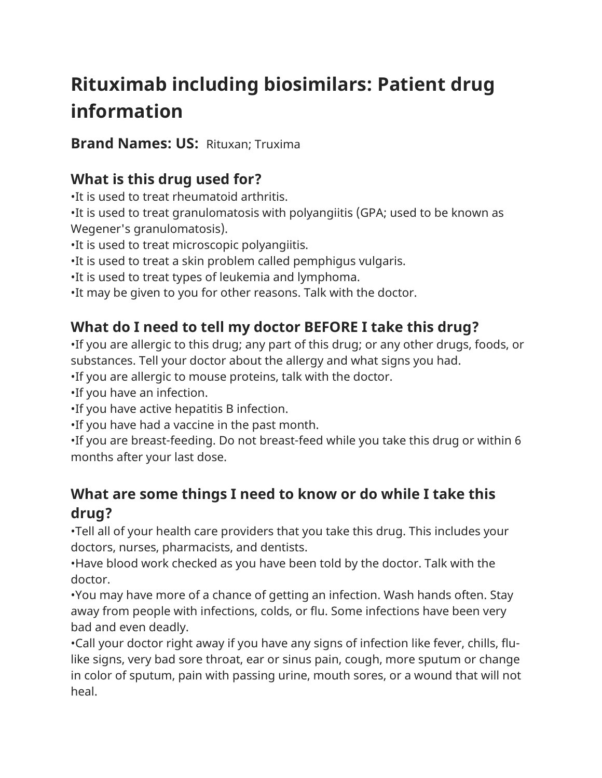# **Rituximab including biosimilars: Patient drug information**

**Brand Names: US:** Rituxan; Truxima

### **What is this drug used for?**

•It is used to treat rheumatoid arthritis.

•It is used to treat granulomatosis with polyangiitis (GPA; used to be known as Wegener's granulomatosis).

•It is used to treat microscopic polyangiitis.

•It is used to treat a skin problem called pemphigus vulgaris.

•It is used to treat types of leukemia and lymphoma.

•It may be given to you for other reasons. Talk with the doctor.

## **What do I need to tell my doctor BEFORE I take this drug?**

•If you are allergic to this drug; any part of this drug; or any other drugs, foods, or substances. Tell your doctor about the allergy and what signs you had.

•If you are allergic to mouse proteins, talk with the doctor.

•If you have an infection.

•If you have active hepatitis B infection.

•If you have had a vaccine in the past month.

•If you are breast-feeding. Do not breast-feed while you take this drug or within 6 months after your last dose.

### **What are some things I need to know or do while I take this drug?**

•Tell all of your health care providers that you take this drug. This includes your doctors, nurses, pharmacists, and dentists.

•Have blood work checked as you have been told by the doctor. Talk with the doctor.

•You may have more of a chance of getting an infection. Wash hands often. Stay away from people with infections, colds, or flu. Some infections have been very bad and even deadly.

•Call your doctor right away if you have any signs of infection like fever, chills, flulike signs, very bad sore throat, ear or sinus pain, cough, more sputum or change in color of sputum, pain with passing urine, mouth sores, or a wound that will not heal.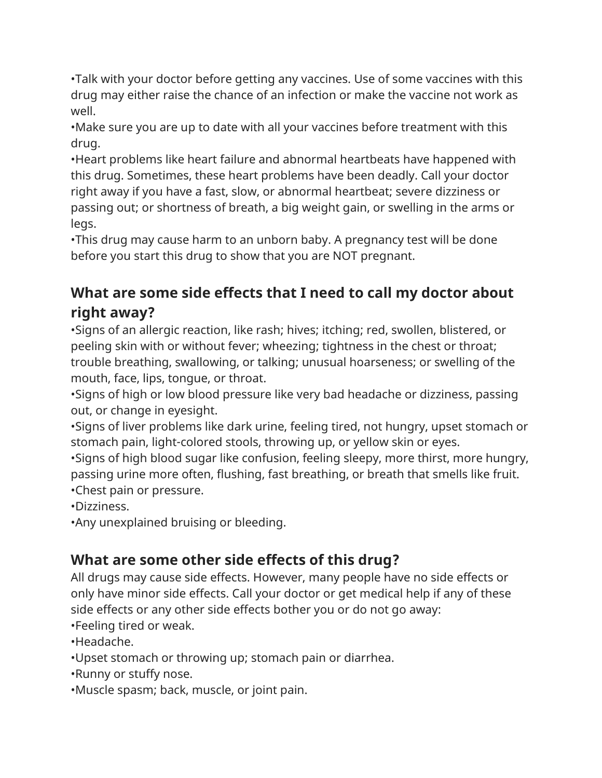•Talk with your doctor before getting any vaccines. Use of some vaccines with this drug may either raise the chance of an infection or make the vaccine not work as well.

•Make sure you are up to date with all your vaccines before treatment with this drug.

•Heart problems like heart failure and abnormal heartbeats have happened with this drug. Sometimes, these heart problems have been deadly. Call your doctor right away if you have a fast, slow, or abnormal heartbeat; severe dizziness or passing out; or shortness of breath, a big weight gain, or swelling in the arms or legs.

•This drug may cause harm to an unborn baby. A pregnancy test will be done before you start this drug to show that you are NOT pregnant.

### **What are some side effects that I need to call my doctor about right away?**

•Signs of an allergic reaction, like rash; hives; itching; red, swollen, blistered, or peeling skin with or without fever; wheezing; tightness in the chest or throat; trouble breathing, swallowing, or talking; unusual hoarseness; or swelling of the mouth, face, lips, tongue, or throat.

•Signs of high or low blood pressure like very bad headache or dizziness, passing out, or change in eyesight.

•Signs of liver problems like dark urine, feeling tired, not hungry, upset stomach or stomach pain, light-colored stools, throwing up, or yellow skin or eyes.

•Signs of high blood sugar like confusion, feeling sleepy, more thirst, more hungry, passing urine more often, flushing, fast breathing, or breath that smells like fruit. •Chest pain or pressure.

•Dizziness.

•Any unexplained bruising or bleeding.

### **What are some other side effects of this drug?**

All drugs may cause side effects. However, many people have no side effects or only have minor side effects. Call your doctor or get medical help if any of these side effects or any other side effects bother you or do not go away:

•Feeling tired or weak.

•Headache.

•Upset stomach or throwing up; stomach pain or diarrhea.

•Runny or stuffy nose.

•Muscle spasm; back, muscle, or joint pain.